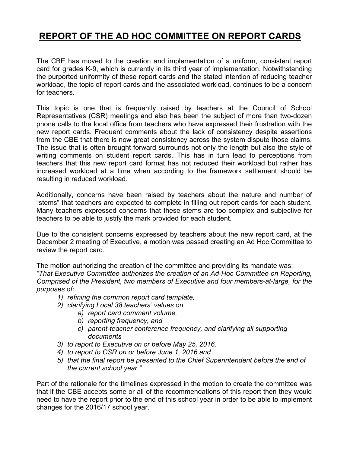# **REPORT OF THE AD HOC COMMITTEE ON REPORT CARDS**

The CBE has moved to the creation and implementation of a uniform, consistent report card for grades K-9, which is currently in its third year of implementation. Notwithstanding the purported uniformity of these report cards and the stated intention of reducing teacher workload, the topic of report cards and the associated workload, continues to be a concern for teachers.

This topic is one that is frequently raised by teachers at the Council of School Representatives (CSR) meetings and also has been the subject of more than two-dozen phone calls to the local office from teachers who have expressed their frustration with the new report cards. Frequent comments about the lack of consistency despite assertions from the CBE that there is now great consistency across the system dispute those claims. The issue that is often brought forward surrounds not only the length but also the style of writing comments on student report cards. This has in turn lead to perceptions from teachers that this new report card format has not reduced their workload but rather has increased workload at a time when according to the framework settlement should be resulting in reduced workload.

Additionally, concerns have been raised by teachers about the nature and number of "stems" that teachers are expected to complete in filling out report cards for each student. Many teachers expressed concerns that these stems are too complex and subjective for teachers to be able to justify the mark provided for each student.

Due to the consistent concerns expressed by teachers about the new report card, at the December 2 meeting of Executive, a motion was passed creating an Ad Hoc Committee to review the report card.

The motion authorizing the creation of the committee and providing its mandate was: *"That Executive Committee authorizes the creation of an Ad-Hoc Committee on Reporting, Comprised of the President, two members of Executive and four members-at-large, for the purposes of:*

- *1) refining the common report card template,*
- *2) clarifying Local 38 teachers' values on* 
	- *a) report card comment volume,* 
		- *b) reporting frequency, and*
		- *c) parent-teacher conference frequency, and clarifying all supporting documents*
- *3) to report to Executive on or before May 25, 2016,*
- *4) to report to CSR on or before June 1, 2016 and*
- *5) that the final report be presented to the Chief Superintendent before the end of the current school year."*

Part of the rationale for the timelines expressed in the motion to create the committee was that if the CBE accepts some or all of the recommendations of this report then they would need to have the report prior to the end of this school year in order to be able to implement changes for the 2016/17 school year.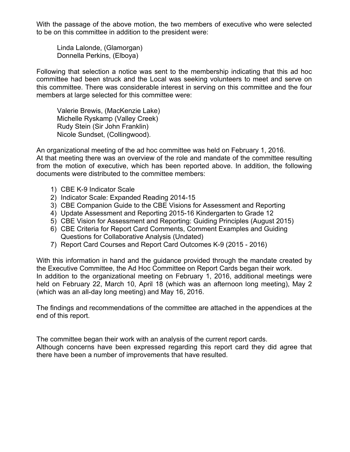With the passage of the above motion, the two members of executive who were selected to be on this committee in addition to the president were:

Linda Lalonde, (Glamorgan) Donnella Perkins, (Elboya)

Following that selection a notice was sent to the membership indicating that this ad hoc committee had been struck and the Local was seeking volunteers to meet and serve on this committee. There was considerable interest in serving on this committee and the four members at large selected for this committee were:

Valerie Brewis, (MacKenzie Lake) Michelle Ryskamp (Valley Creek) Rudy Stein (Sir John Franklin) Nicole Sundset, (Collingwood).

An organizational meeting of the ad hoc committee was held on February 1, 2016. At that meeting there was an overview of the role and mandate of the committee resulting from the motion of executive, which has been reported above. In addition, the following documents were distributed to the committee members:

- 1) CBE K-9 Indicator Scale
- 2) Indicator Scale: Expanded Reading 2014-15
- 3) CBE Companion Guide to the CBE Visions for Assessment and Reporting
- 4) Update Assessment and Reporting 2015-16 Kindergarten to Grade 12
- 5) CBE Vision for Assessment and Reporting: Guiding Principles (August 2015)
- 6) CBE Criteria for Report Card Comments, Comment Examples and Guiding Questions for Collaborative Analysis (Undated)
- 7) Report Card Courses and Report Card Outcomes K-9 (2015 2016)

With this information in hand and the guidance provided through the mandate created by the Executive Committee, the Ad Hoc Committee on Report Cards began their work. In addition to the organizational meeting on February 1, 2016, additional meetings were held on February 22, March 10, April 18 (which was an afternoon long meeting), May 2 (which was an all-day long meeting) and May 16, 2016.

The findings and recommendations of the committee are attached in the appendices at the end of this report.

The committee began their work with an analysis of the current report cards. Although concerns have been expressed regarding this report card they did agree that there have been a number of improvements that have resulted.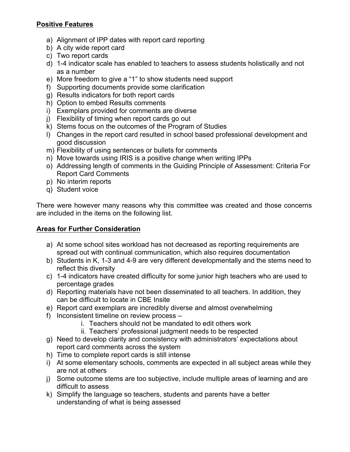#### **Positive Features**

- a) Alignment of IPP dates with report card reporting
- b) A city wide report card
- c) Two report cards
- d) 1-4 indicator scale has enabled to teachers to assess students holistically and not as a number
- e) More freedom to give a "1" to show students need support
- f) Supporting documents provide some clarification
- g) Results indicators for both report cards
- h) Option to embed Results comments
- i) Exemplars provided for comments are diverse
- j) Flexibility of timing when report cards go out
- k) Stems focus on the outcomes of the Program of Studies
- l) Changes in the report card resulted in school based professional development and good discussion
- m) Flexibility of using sentences or bullets for comments
- n) Move towards using IRIS is a positive change when writing IPPs
- o) Addressing length of comments in the Guiding Principle of Assessment: Criteria For Report Card Comments
- p) No interim reports
- q) Student voice

There were however many reasons why this committee was created and those concerns are included in the items on the following list.

### **Areas for Further Consideration**

- a) At some school sites workload has not decreased as reporting requirements are spread out with continual communication, which also requires documentation
- b) Students in K, 1-3 and 4-9 are very different developmentally and the stems need to reflect this diversity
- c) 1-4 indicators have created difficulty for some junior high teachers who are used to percentage grades
- d) Reporting materials have not been disseminated to all teachers. In addition, they can be difficult to locate in CBE Insite
- e) Report card exemplars are incredibly diverse and almost overwhelming
- f) Inconsistent timeline on review process
	- i. Teachers should not be mandated to edit others work
	- ii. Teachers' professional judgment needs to be respected
- g) Need to develop clarity and consistency with administrators' expectations about report card comments across the system
- h) Time to complete report cards is still intense
- i) At some elementary schools, comments are expected in all subject areas while they are not at others
- j) Some outcome stems are too subjective, include multiple areas of learning and are difficult to assess
- k) Simplify the language so teachers, students and parents have a better understanding of what is being assessed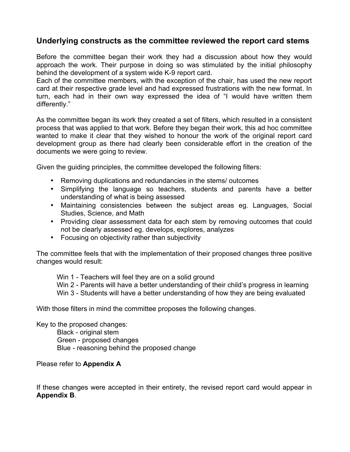## **Underlying constructs as the committee reviewed the report card stems**

Before the committee began their work they had a discussion about how they would approach the work. Their purpose in doing so was stimulated by the initial philosophy behind the development of a system wide K-9 report card.

Each of the committee members, with the exception of the chair, has used the new report card at their respective grade level and had expressed frustrations with the new format. In turn, each had in their own way expressed the idea of "I would have written them differently."

As the committee began its work they created a set of filters, which resulted in a consistent process that was applied to that work. Before they began their work, this ad hoc committee wanted to make it clear that they wished to honour the work of the original report card development group as there had clearly been considerable effort in the creation of the documents we were going to review.

Given the guiding principles, the committee developed the following filters:

- Removing duplications and redundancies in the stems/ outcomes
- Simplifying the language so teachers, students and parents have a better understanding of what is being assessed
- Maintaining consistencies between the subject areas eg. Languages, Social Studies, Science, and Math
- Providing clear assessment data for each stem by removing outcomes that could not be clearly assessed eg. develops, explores, analyzes
- Focusing on objectivity rather than subjectivity

The committee feels that with the implementation of their proposed changes three positive changes would result:

Win 1 - Teachers will feel they are on a solid ground

Win 2 - Parents will have a better understanding of their child's progress in learning

Win 3 - Students will have a better understanding of how they are being evaluated

With those filters in mind the committee proposes the following changes.

Key to the proposed changes:

Black - original stem Green - proposed changes Blue - reasoning behind the proposed change

Please refer to **Appendix A**

If these changes were accepted in their entirety, the revised report card would appear in **Appendix B**.